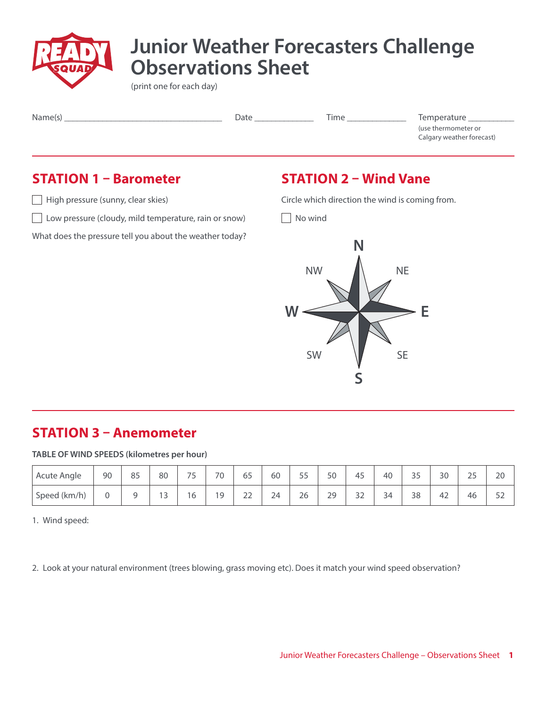

# **Junior Weather Forecasters Challenge Observations Sheet**

(print one for each day)

Name(s) \_\_\_\_\_\_\_\_\_\_\_\_\_\_\_\_\_\_\_\_\_\_\_\_\_\_\_\_\_\_\_\_\_\_\_\_\_ Date \_\_\_\_\_\_\_\_\_\_\_\_\_\_ Time \_\_\_\_\_\_\_\_\_\_\_\_\_\_ Temperature \_\_\_\_\_\_\_\_\_\_\_

(use thermometer or Calgary weather forecast)

# **STATION 1 – Barometer**

 $\Box$  High pressure (sunny, clear skies)

Low pressure (cloudy, mild temperature, rain or snow)

What does the pressure tell you about the weather today?

### **STATION 2 – Wind Vane**

Circle which direction the wind is coming from.

No wind



# **STATION 3 – Anemometer**

**TABLE OF WIND SPEEDS (kilometres per hour)**

| Acute Angle  | 90 | 85 | 80        | $\overline{\phantom{a}}$<br>ے | 70             | $\sim$ $-$<br>65 | 60 | 55 | 50 | 4 <sup>5</sup><br>۔ ب | 40      | $\sim$ $-$<br>35 | 30           | $\sim$ $\sim$<br>رے | 20        |
|--------------|----|----|-----------|-------------------------------|----------------|------------------|----|----|----|-----------------------|---------|------------------|--------------|---------------------|-----------|
| Speed (km/h) |    |    | 12<br>. J | $\sim$<br>$\circ$             | 1 <sub>Q</sub> | $\sim$<br>∠∠     | 24 | 26 | 29 | $\sim$ $\sim$<br>ے ب  | 34<br>◡ | 38               | $\sim$<br>42 | 46                  | よつ<br>ے ر |

1. Wind speed:

2. Look at your natural environment (trees blowing, grass moving etc). Does it match your wind speed observation?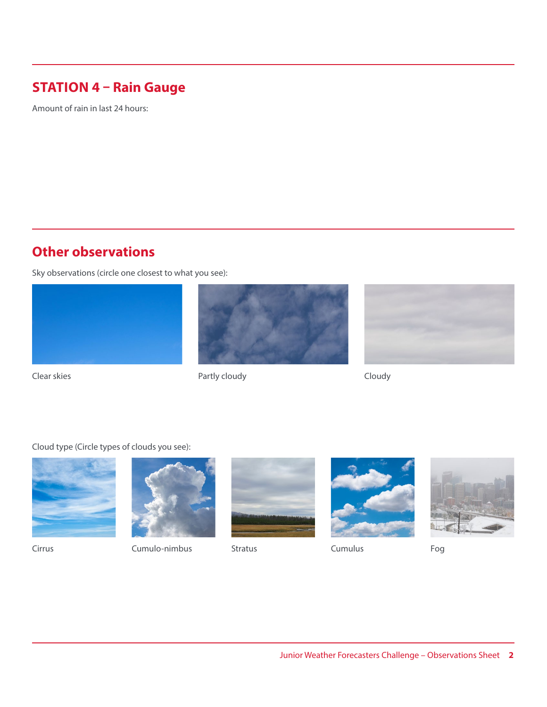# **STATION 4 – Rain Gauge**

Amount of rain in last 24 hours:

# **Other observations**

Sky observations (circle one closest to what you see):



Clear skies **Cloudy Partly cloudy Partly cloudy Cloudy** 



Cloud type (Circle types of clouds you see):





Cirrus Cumulo-nimbus Stratus Cumulus Fog